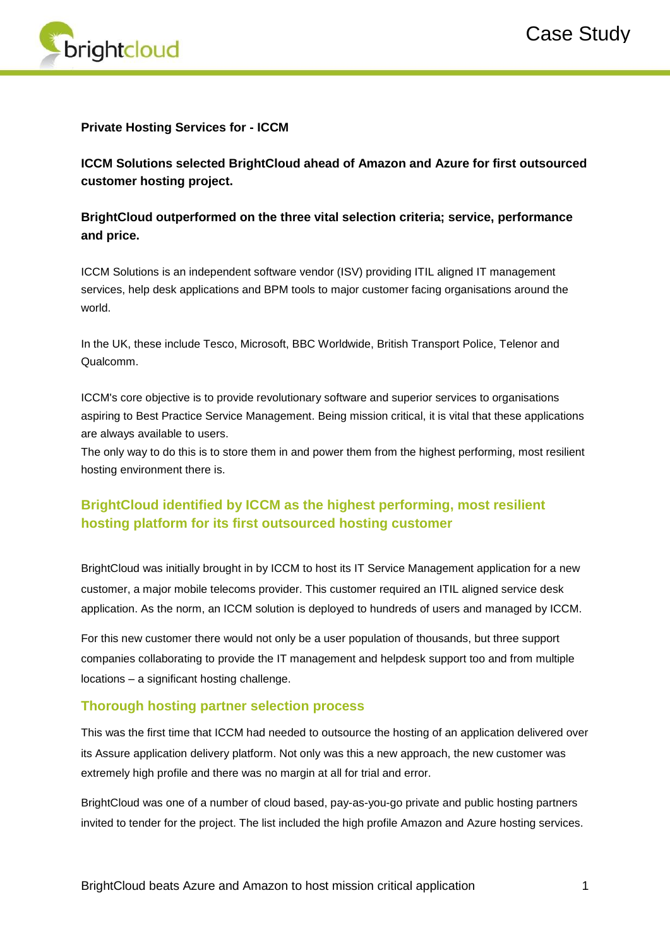

#### **Private Hosting Services for - ICCM**

**ICCM Solutions selected BrightCloud ahead of Amazon and Azure for first outsourced customer hosting project.** 

## **BrightCloud outperformed on the three vital selection criteria; service, performance and price.**

ICCM Solutions is an independent software vendor (ISV) providing ITIL aligned IT management services, help desk applications and BPM tools to major customer facing organisations around the world.

In the UK, these include Tesco, Microsoft, BBC Worldwide, British Transport Police, Telenor and Qualcomm.

ICCM's core objective is to provide revolutionary software and superior services to organisations aspiring to Best Practice Service Management. Being mission critical, it is vital that these applications are always available to users.

The only way to do this is to store them in and power them from the highest performing, most resilient hosting environment there is.

# **BrightCloud identified by ICCM as the highest performing, most resilient hosting platform for its first outsourced hosting customer**

BrightCloud was initially brought in by ICCM to host its IT Service Management application for a new customer, a major mobile telecoms provider. This customer required an ITIL aligned service desk application. As the norm, an ICCM solution is deployed to hundreds of users and managed by ICCM.

For this new customer there would not only be a user population of thousands, but three support companies collaborating to provide the IT management and helpdesk support too and from multiple locations – a significant hosting challenge.

### **Thorough hosting partner selection process**

This was the first time that ICCM had needed to outsource the hosting of an application delivered over its Assure application delivery platform. Not only was this a new approach, the new customer was extremely high profile and there was no margin at all for trial and error.

BrightCloud was one of a number of cloud based, pay-as-you-go private and public hosting partners invited to tender for the project. The list included the high profile Amazon and Azure hosting services.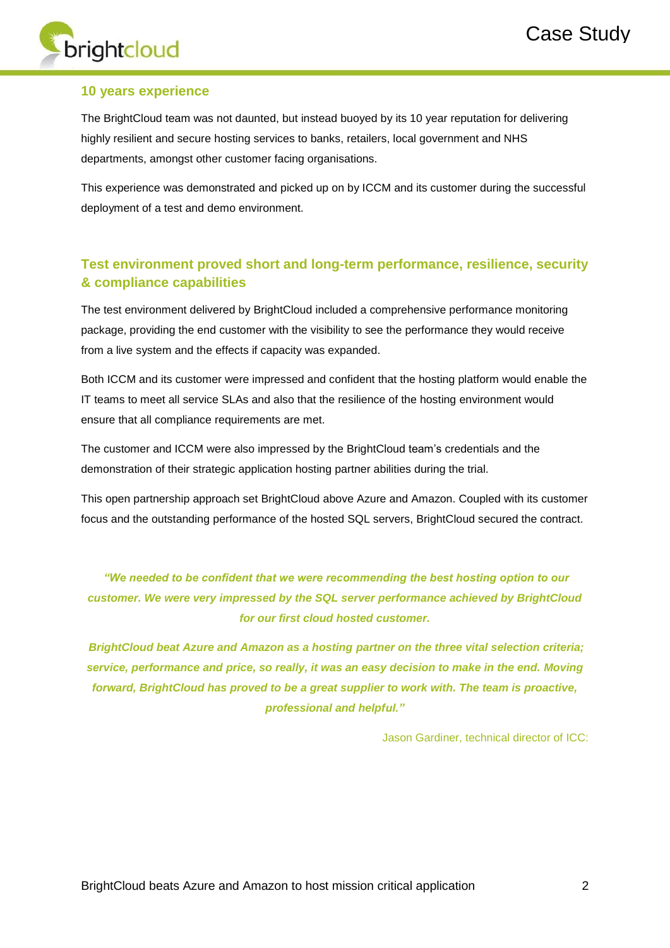

#### **10 years experience**

The BrightCloud team was not daunted, but instead buoyed by its 10 year reputation for delivering highly resilient and secure hosting services to banks, retailers, local government and NHS departments, amongst other customer facing organisations.

This experience was demonstrated and picked up on by ICCM and its customer during the successful deployment of a test and demo environment.

# **Test environment proved short and long-term performance, resilience, security & compliance capabilities**

The test environment delivered by BrightCloud included a comprehensive performance monitoring package, providing the end customer with the visibility to see the performance they would receive from a live system and the effects if capacity was expanded.

Both ICCM and its customer were impressed and confident that the hosting platform would enable the IT teams to meet all service SLAs and also that the resilience of the hosting environment would ensure that all compliance requirements are met.

The customer and ICCM were also impressed by the BrightCloud team's credentials and the demonstration of their strategic application hosting partner abilities during the trial.

This open partnership approach set BrightCloud above Azure and Amazon. Coupled with its customer focus and the outstanding performance of the hosted SQL servers, BrightCloud secured the contract.

# *"We needed to be confident that we were recommending the best hosting option to our customer. We were very impressed by the SQL server performance achieved by BrightCloud for our first cloud hosted customer.*

*BrightCloud beat Azure and Amazon as a hosting partner on the three vital selection criteria; service, performance and price, so really, it was an easy decision to make in the end. Moving forward, BrightCloud has proved to be a great supplier to work with. The team is proactive, professional and helpful."* 

Jason Gardiner, technical director of ICC: